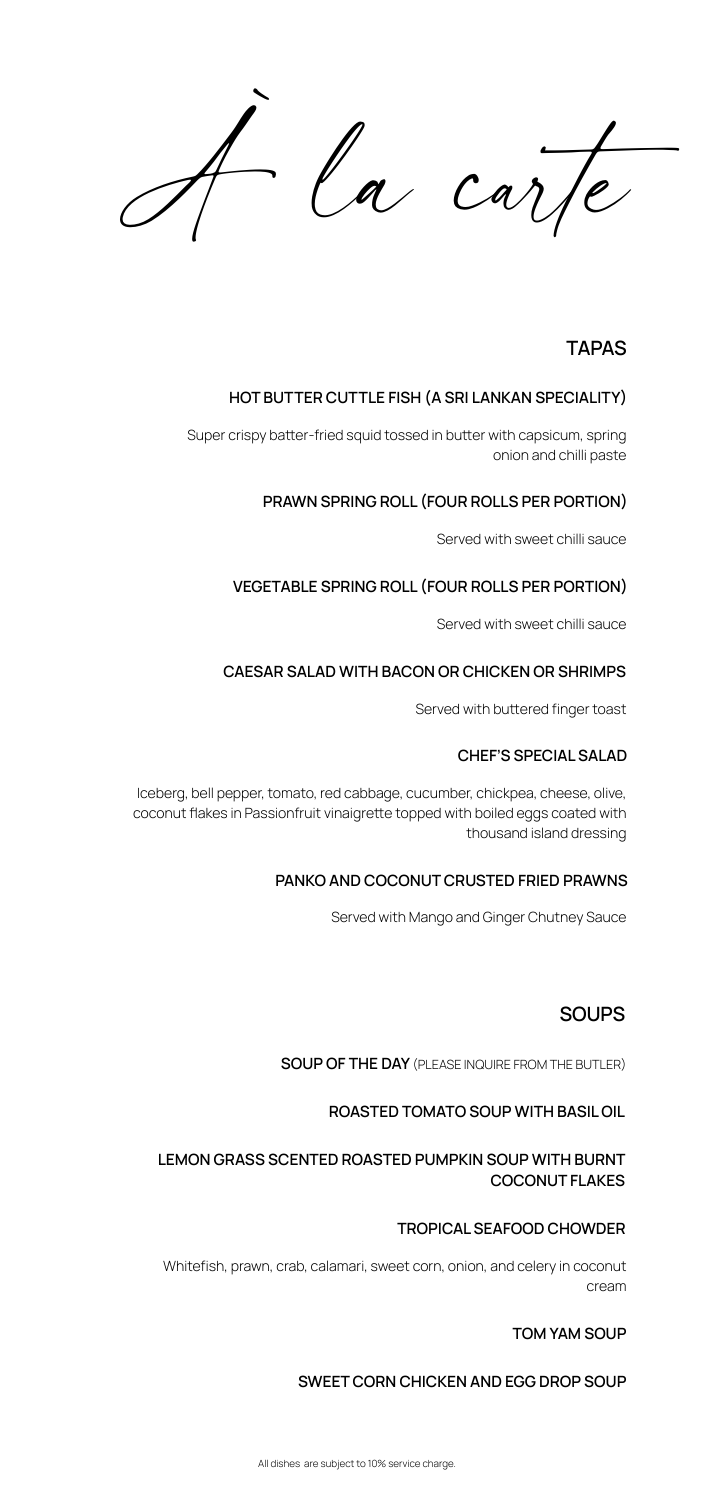la carte

# **TAPAS**

# **SOUPS**

# **HOT BUTTER CUTTLE FISH (A SRI LANKAN SPECIALITY)**

Super crispy batter-fried squid tossed in butter with capsicum, spring onion and chilli paste

**SOUP OF THE DAY** (PLEASE INQUIRE FROM THE BUTLER)

**ROASTED TOMATO SOUP WITH BASIL OIL**

**LEMON GRASS SCENTED ROASTED PUMPKIN SOUP WITH BURNT COCONUT FLAKES**

#### **TOM YAM SOUP**

#### **SWEET CORN CHICKEN AND EGG DROP SOUP**

All dishes are subject to 10% service charge.

# **PRAWN SPRING ROLL (FOUR ROLLS PER PORTION)**

Served with sweet chilli sauce

# **VEGETABLE SPRING ROLL (FOUR ROLLS PER PORTION)**

Served with sweet chilli sauce

## **CAESAR SALAD WITH BACON OR CHICKEN OR SHRIMPS**

Served with buttered finger toast

**TROPICAL SEAFOOD CHOWDER** 

Whitefish, prawn, crab, calamari, sweet corn, onion, and celery in coconut



#### **CHEF'S SPECIAL SALAD**

Iceberg, bell pepper, tomato, red cabbage, cucumber, chickpea, cheese, olive, coconut flakes in Passionfruit vinaigrette topped with boiled eggs coated with thousand island dressing

#### **PANKO AND COCONUT CRUSTED FRIED PRAWNS**

Served with Mango and Ginger Chutney Sauce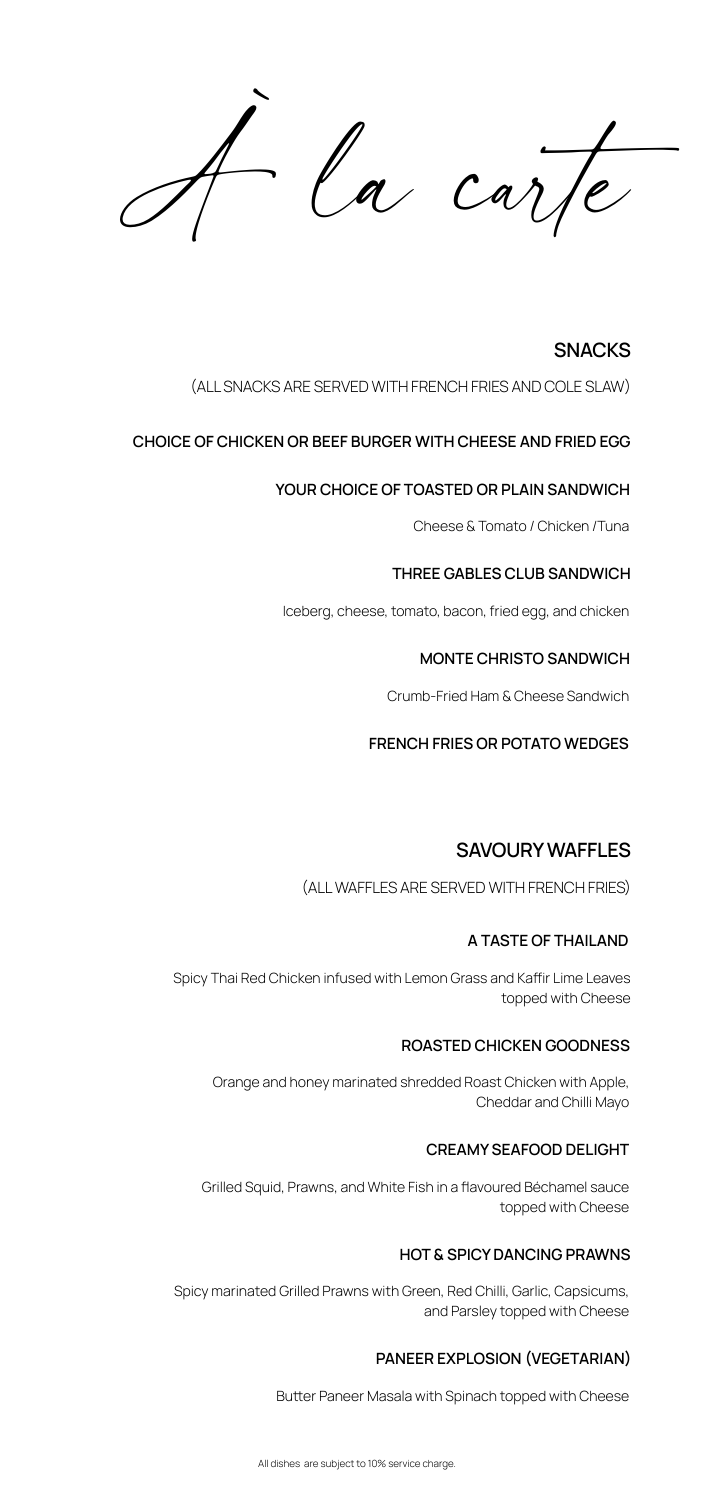$a$ 

# **SNACKS**

# (ALL SNACKS ARE SERVED WITH FRENCH FRIES AND COLE SLAW)

# **SAVOURY WAFFLES**

### (ALL WAFFLES ARE SERVED WITH FRENCH FRIES)

#### **CHOICE OF CHICKEN OR BEEF BURGER WITH CHEESE AND FRIED EGG**

#### **YOUR CHOICE OF TOASTED OR PLAIN SANDWICH**

Cheese & Tomato / Chicken /Tuna

#### **THREE GABLES CLUB SANDWICH**

#### **MONTE CHRISTO SANDWICH**

#### **FRENCH FRIES OR POTATO WEDGES**

Iceberg, cheese, tomato, bacon, fried egg, and chicken

Crumb-Fried Ham & Cheese Sandwich

#### **A TASTE OF THAILAND**

Spicy Thai Red Chicken infused with Lemon Grass and Kafir Lime Leaves topped with Cheese

#### **ROASTED CHICKEN GOODNESS**

Orange and honey marinated shredded Roast Chicken with Apple, Cheddar and Chilli Mayo

#### **CREAMY SEAFOOD DELIGHT**

Grilled Squid, Prawns, and White Fish in a flavoured Béchamel sauce topped with Cheese

# **HOT & SPICY DANCING PRAWNS**

Spicy marinated Grilled Prawns with Green, Red Chilli, Garlic, Capsicums, and Parsley topped with Cheese

## **PANEER EXPLOSION (VEGETARIAN)**

#### Butter Paneer Masala with Spinach topped with Cheese

All dishes are subject to 10% service charge.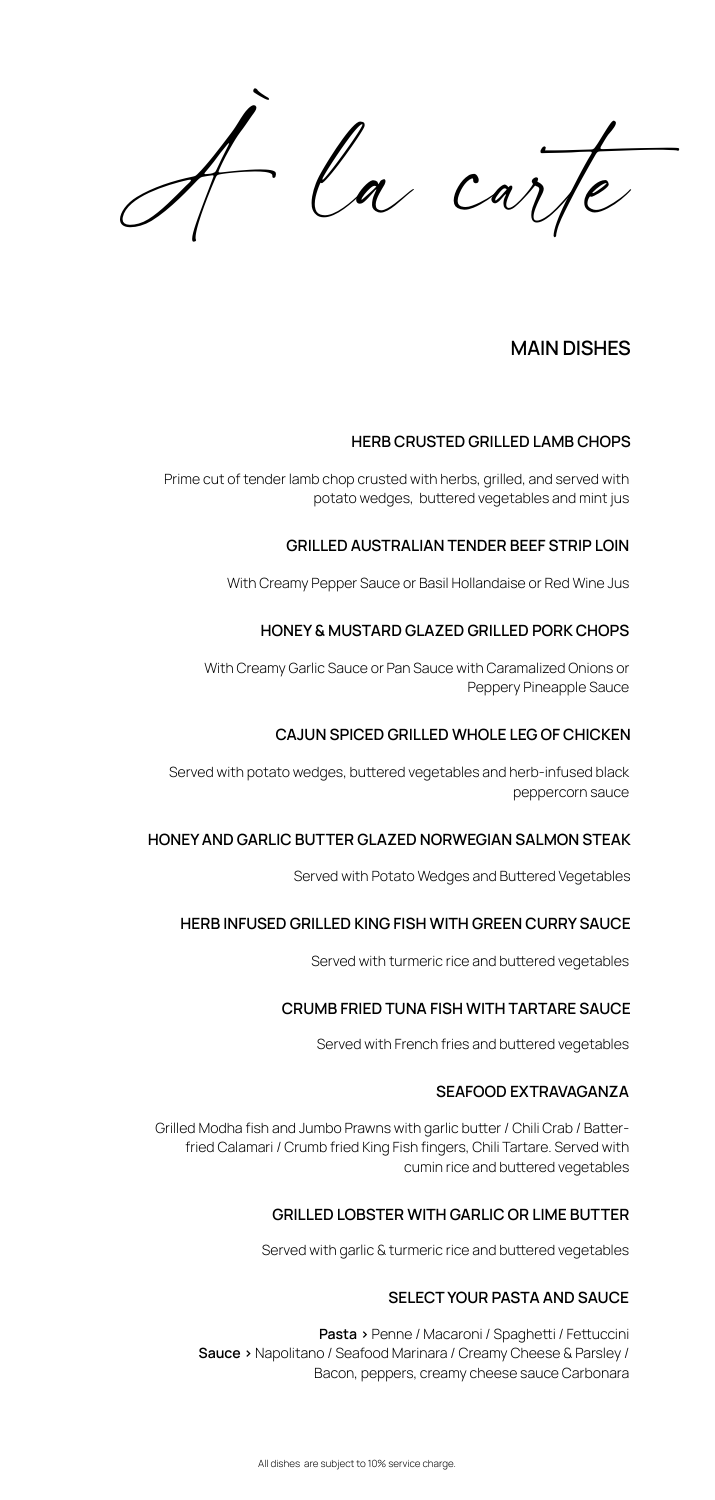La carle

# **MAIN DISHES**

Prime cut of tender lamb chop crusted with herbs, grilled, and served with potato wedges, buttered vegetables and mint jus

### **HERB CRUSTED GRILLED LAMB CHOPS**

#### **GRILLED AUSTRALIAN TENDER BEEF STRIP LOIN**

With Creamy Pepper Sauce or Basil Hollandaise or Red Wine Jus

#### **HONEY & MUSTARD GLAZED GRILLED PORK CHOPS**

With Creamy Garlic Sauce or Pan Sauce with Caramalized Onions or Peppery Pineapple Sauce

#### **CAJUN SPICED GRILLED WHOLE LEG OF CHICKEN**

Served with potato wedges, butered vegetables and herb-infused black peppercorn sauce

Grilled Modha fish and Jumbo Prawns with garlic butter / Chili Crab / Batterfried Calamari / Crumb fried King Fish fingers, Chili Tartare. Served with cumin rice and butered vegetables

#### **HONEY AND GARLIC BUTTER GLAZED NORWEGIAN SALMON STEAK**

Served with Potato Wedges and Butered Vegetables

#### **HERB INFUSED GRILLED KING FISH WITH GREEN CURRY SAUCE**

Served with turmeric rice and butered vegetables

### **CRUMB FRIED TUNA FISH WITH TARTARE SAUCE**

Served with French fries and butered vegetables

#### **SEAFOOD EXTRAVAGANZA**

Served with garlic & turmeric rice and butered vegetables

#### **GRILLED LOBSTER WITH GARLIC OR LIME BUTTER**

**Pasta >** Penne / Macaroni / Spagheti / Fetuccini **Sauce >** Napolitano / Seafood Marinara / Creamy Cheese & Parsley / Bacon, peppers, creamy cheese sauce Carbonara

All dishes are subject to 10% service charge.

#### **SELECT YOUR PASTA AND SAUCE**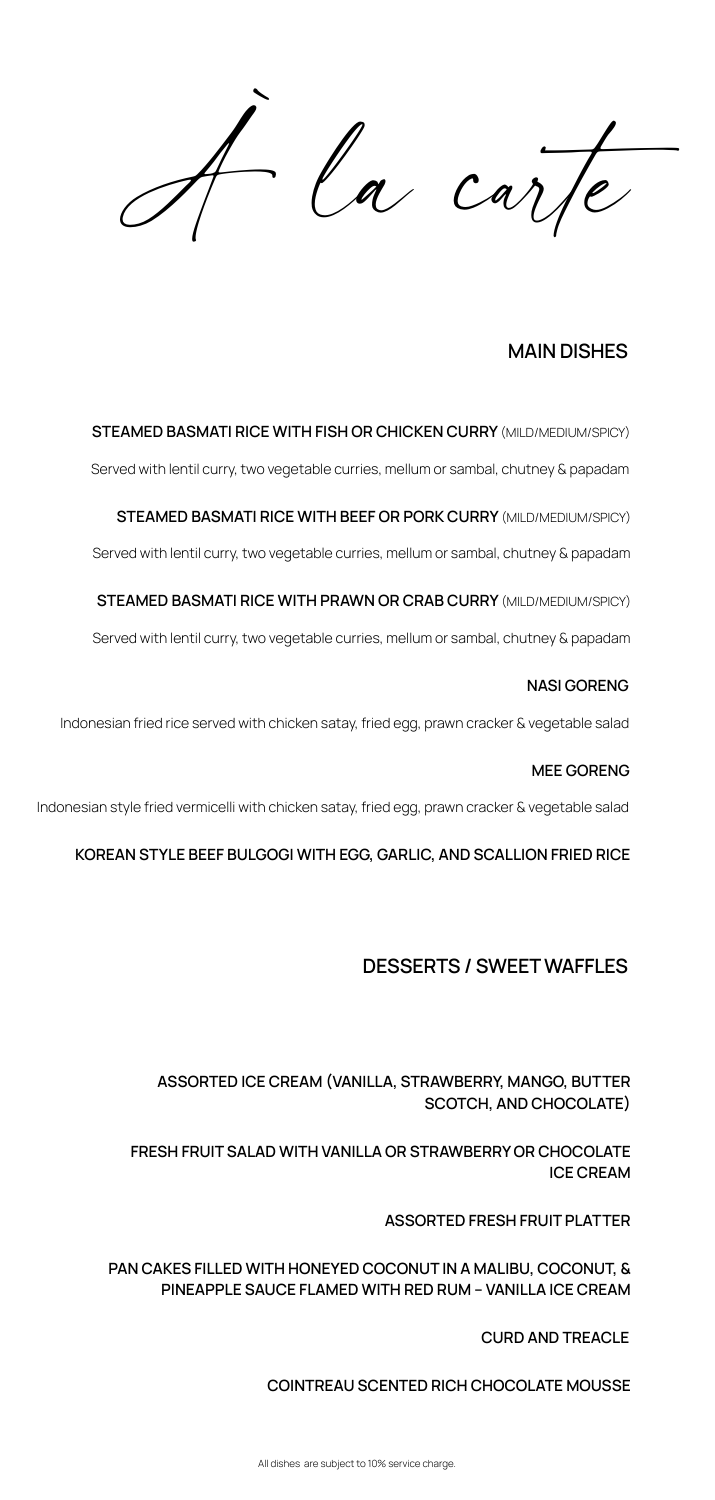a carle

# **MAIN DISHES**

# **DESSERTS / SWEET WAFFLES**

Served with lentil curry, two vegetable curries, mellum or sambal, chutney & papadam

#### **STEAMED BASMATI RICE WITH FISH OR CHICKEN CURRY** (MILD/MEDIUM/SPICY)

Served with lentil curry, two vegetable curries, mellum or sambal, chutney & papadam

#### **STEAMED BASMATI RICE WITH BEEF OR PORK CURRY** (MILD/MEDIUM/SPICY)

Served with lentil curry, two vegetable curries, mellum or sambal, chutney & papadam

#### **STEAMED BASMATI RICE WITH PRAWN OR CRAB CURRY** (MILD/MEDIUM/SPICY)

Indonesian fried rice served with chicken satay, fried egg, prawn cracker & vegetable salad

#### **NASI GORENG**

**ASSORTED ICE CREAM (VANILLA, STRAWBERRY, MANGO, BUTTER SCOTCH, AND CHOCOLATE)**

**FRESH FRUIT SALAD WITH VANILLA OR STRAWBERRY OR CHOCOLATE ICE CREAM** 

**ASSORTED FRESH FRUIT PLATTER**

**PAN CAKES FILLED WITH HONEYED COCONUT IN A MALIBU, COCONUT, &** 

#### **PINEAPPLE SAUCE FLAMED WITH RED RUM – VANILLA ICE CREAM**

#### **CURD AND TREACLE**

#### **COINTREAU SCENTED RICH CHOCOLATE MOUSSE**

Indonesian style fried vermicelli with chicken satay, fried egg, prawn cracker & vegetable salad

#### **MEE GORENG**

#### **KOREAN STYLE BEEF BULGOGI WITH EGG, GARLIC, AND SCALLION FRIED RICE**

All dishes are subject to 10% service charge.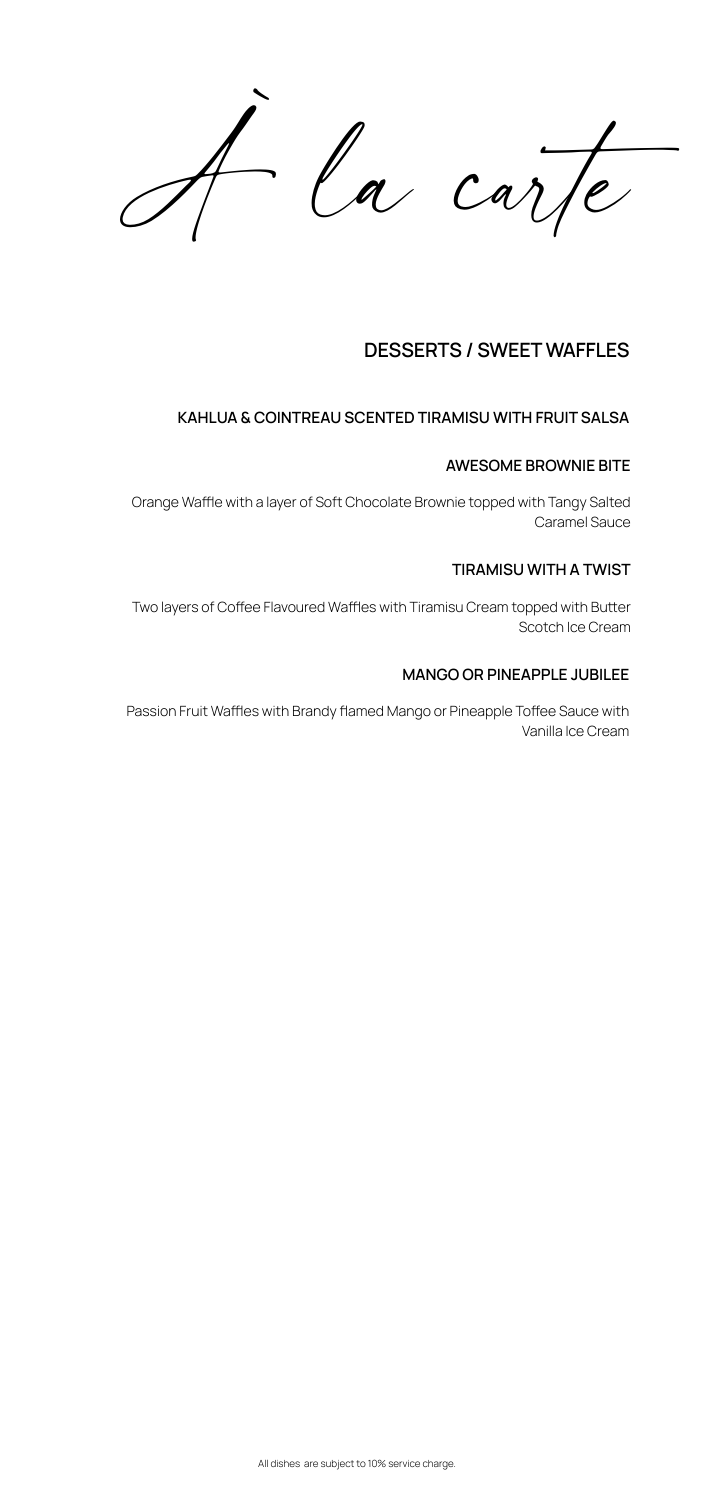la carte

# **DESSERTS / SWEET WAFFLES**

Orange Waffle with a layer of Soft Chocolate Brownie topped with Tangy Salted Caramel Sauce

Two layers of Coffee Flavoured Waffles with Tiramisu Cream topped with Butter Scotch Ice Cream

#### **AWESOME BROWNIE BITE**

Passion Fruit Waffles with Brandy flamed Mango or Pineapple Toffee Sauce with Vanilla Ice Cream

#### **TIRAMISU WITH A TWIST**

#### **MANGO OR PINEAPPLE JUBILEE**

All dishes are subject to 10% service charge.

# **KAHLUA & COINTREAU SCENTED TIRAMISU WITH FRUIT SALSA**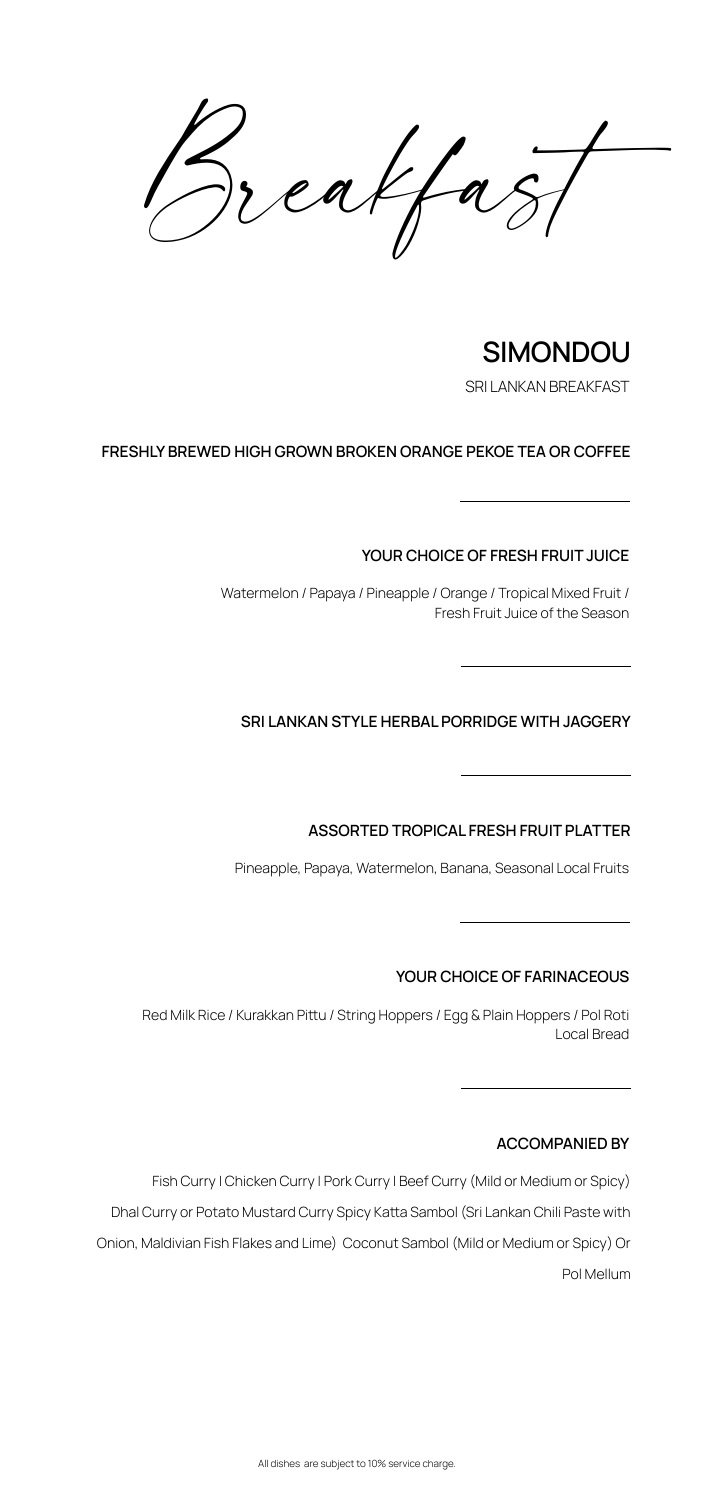Breakfast

# **SIMONDOU**

**FRESHLY BREWED HIGH GROWN BROKEN ORANGE PEKOE TEA OR COFFEE**

Watermelon / Papaya / Pineapple / Orange / Tropical Mixed Fruit / Fresh Fruit Juice of the Season

**YOUR CHOICE OF FRESH FRUIT JUICE**

All dishes are subject to 10% service charge.

Red Milk Rice / Kurakkan Pittu / String Hoppers / Egg & Plain Hoppers / Pol Roti Local Bread

Pineapple, Papaya, Watermelon, Banana, Seasonal Local Fruits

# **SRI LANKAN STYLE HERBAL PORRIDGE WITH JAGGERY**

## **ASSORTED TROPICAL FRESH FRUIT PLATTER**

# **YOUR CHOICE OF FARINACEOUS**

Fish Curry | Chicken Curry | Pork Curry | Beef Curry (Mild or Medium or Spicy)

Dhal Curry or Potato Mustard Curry Spicy Katta Sambol (Sri Lankan Chili Paste with

Onion, Maldivian Fish Flakes and Lime) Coconut Sambol (Mild or Medium or Spicy) Or



### **ACCOMPANIED BY**

SRI LANKAN BREAKFAST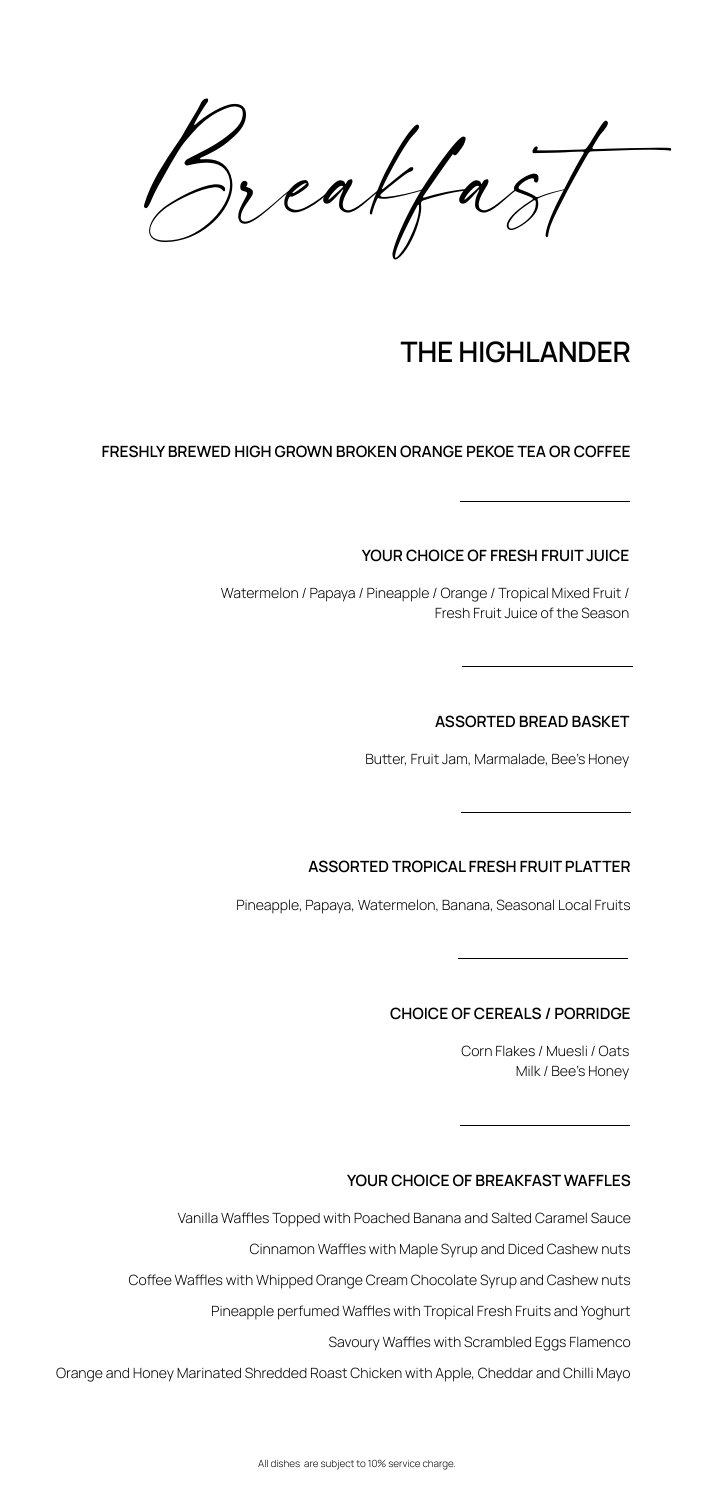Breakfast

# **THE HIGHLANDER**

#### **FRESHLY BREWED HIGH GROWN BROKEN ORANGE PEKOE TEA OR COFFEE**

Watermelon / Papaya / Pineapple / Orange / Tropical Mixed Fruit / Fresh Fruit Juice of the Season

**YOUR CHOICE OF FRESH FRUIT JUICE**

All dishes are subject to 10% service charge.

Pineapple, Papaya, Watermelon, Banana, Seasonal Local Fruits

# **ASSORTED BREAD BASKET**

Butter, Fruit Jam, Marmalade, Bee's Honey

#### **ASSORTED TROPICAL FRESH FRUIT PLATTER**

Corn Flakes / Muesli / Oats Milk / Bee's Honey

#### **CHOICE OF CEREALS / PORRIDGE**

Orange and Honey Marinated Shredded Roast Chicken with Apple, Cheddar and Chilli Mayo

#### **YOUR CHOICE OF BREAKFAST WAFFLES**

Vanilla Waffles Topped with Poached Banana and Salted Caramel Sauce

Cinnamon Waffles with Maple Syrup and Diced Cashew nuts

Coffee Waffles with Whipped Orange Cream Chocolate Syrup and Cashew nuts

Pineapple perfumed Waffles with Tropical Fresh Fruits and Yoghurt

Savoury Waffles with Scrambled Eggs Flamenco